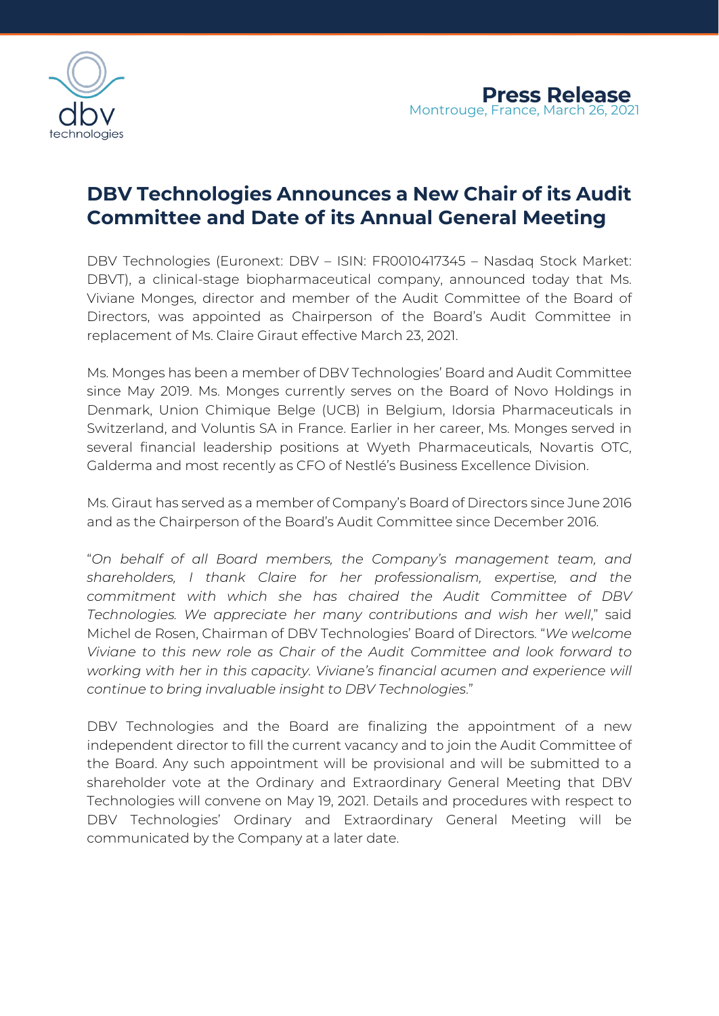

# **DBV Technologies Announces a New Chair of its Audit Committee and Date of its Annual General Meeting**

DBV Technologies (Euronext: DBV – ISIN: FR0010417345 – Nasdaq Stock Market: DBVT), a clinical-stage biopharmaceutical company, announced today that Ms. Viviane Monges, director and member of the Audit Committee of the Board of Directors, was appointed as Chairperson of the Board's Audit Committee in replacement of Ms. Claire Giraut effective March 23, 2021.

Ms. Monges has been a member of DBV Technologies' Board and Audit Committee since May 2019. Ms. Monges currently serves on the Board of Novo Holdings in Denmark, Union Chimique Belge (UCB) in Belgium, Idorsia Pharmaceuticals in Switzerland, and Voluntis SA in France. Earlier in her career, Ms. Monges served in several financial leadership positions at Wyeth Pharmaceuticals, Novartis OTC, Galderma and most recently as CFO of Nestlé's Business Excellence Division.

Ms. Giraut has served as a member of Company's Board of Directors since June 2016 and as the Chairperson of the Board's Audit Committee since December 2016.

"*On behalf of all Board members, the Company's management team, and shareholders, I thank Claire for her professionalism, expertise, and the commitment with which she has chaired the Audit Committee of DBV Technologies. We appreciate her many contributions and wish her well*," said Michel de Rosen, Chairman of DBV Technologies' Board of Directors. "*We welcome Viviane to this new role as Chair of the Audit Committee and look forward to working with her in this capacity. Viviane's financial acumen and experience will continue to bring invaluable insight to DBV Technologies*."

DBV Technologies and the Board are finalizing the appointment of a new independent director to fill the current vacancy and to join the Audit Committee of the Board. Any such appointment will be provisional and will be submitted to a shareholder vote at the Ordinary and Extraordinary General Meeting that DBV Technologies will convene on May 19, 2021. Details and procedures with respect to DBV Technologies' Ordinary and Extraordinary General Meeting will be communicated by the Company at a later date.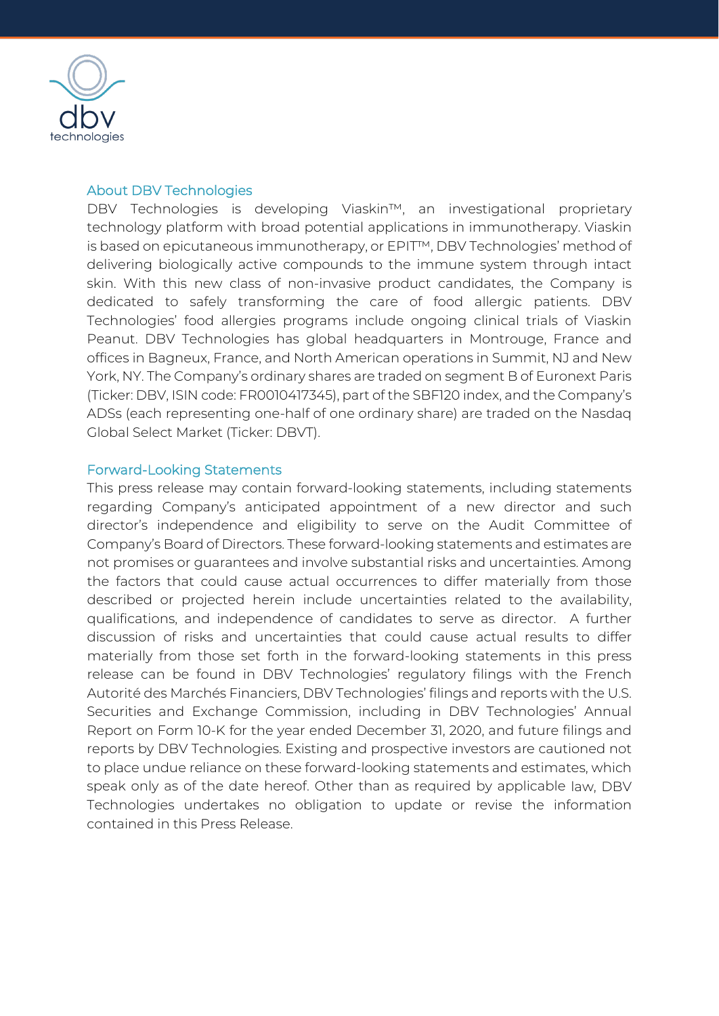

#### About DBV Technologies

DBV Technologies is developing Viaskin™, an investigational proprietary technology platform with broad potential applications in immunotherapy. Viaskin is based on epicutaneous immunotherapy, or EPIT™, DBV Technologies' method of delivering biologically active compounds to the immune system through intact skin. With this new class of non-invasive product candidates, the Company is dedicated to safely transforming the care of food allergic patients. DBV Technologies' food allergies programs include ongoing clinical trials of Viaskin Peanut. DBV Technologies has global headquarters in Montrouge, France and offices in Bagneux, France, and North American operations in Summit, NJ and New York, NY. The Company's ordinary shares are traded on segment B of Euronext Paris (Ticker: DBV, ISIN code: FR0010417345), part of the SBF120 index, and the Company's ADSs (each representing one-half of one ordinary share) are traded on the Nasdaq Global Select Market (Ticker: DBVT).

#### Forward-Looking Statements

This press release may contain forward-looking statements, including statements regarding Company's anticipated appointment of a new director and such director's independence and eligibility to serve on the Audit Committee of Company's Board of Directors. These forward-looking statements and estimates are not promises or guarantees and involve substantial risks and uncertainties. Among the factors that could cause actual occurrences to differ materially from those described or projected herein include uncertainties related to the availability, qualifications, and independence of candidates to serve as director. A further discussion of risks and uncertainties that could cause actual results to differ materially from those set forth in the forward-looking statements in this press release can be found in DBV Technologies' regulatory filings with the French Autorité des Marchés Financiers, DBV Technologies' filings and reports with the U.S. Securities and Exchange Commission, including in DBV Technologies' Annual Report on Form 10-K for the year ended December 31, 2020, and future filings and reports by DBV Technologies. Existing and prospective investors are cautioned not to place undue reliance on these forward-looking statements and estimates, which speak only as of the date hereof. Other than as required by applicable law, DBV Technologies undertakes no obligation to update or revise the information contained in this Press Release.